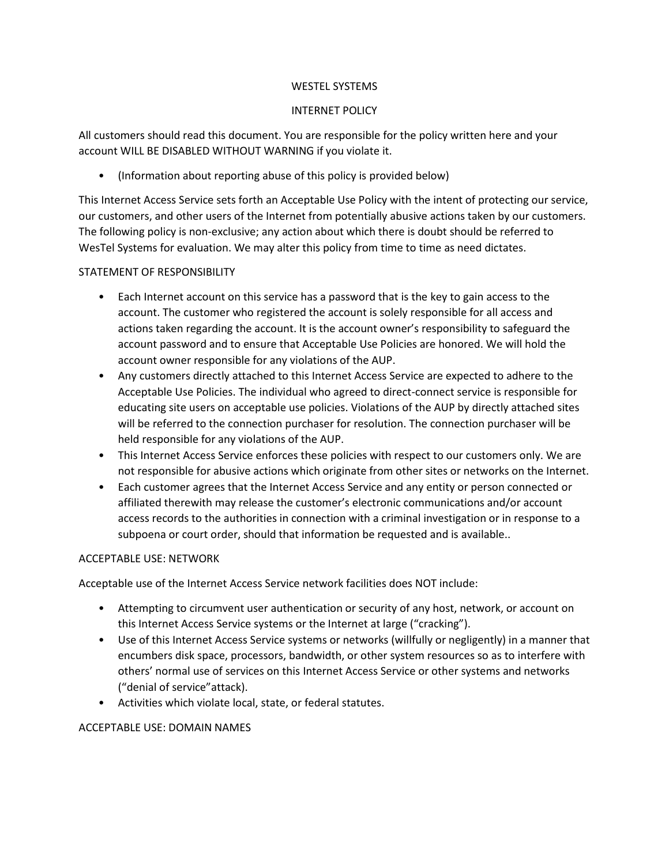#### WESTEL SYSTEMS

### INTERNET POLICY

All customers should read this document. You are responsible for the policy written here and your account WILL BE DISABLED WITHOUT WARNING if you violate it.

• (Information about reporting abuse of this policy is provided below)

This Internet Access Service sets forth an Acceptable Use Policy with the intent of protecting our service, our customers, and other users of the Internet from potentially abusive actions taken by our customers. The following policy is non-exclusive; any action about which there is doubt should be referred to WesTel Systems for evaluation. We may alter this policy from time to time as need dictates.

### STATEMENT OF RESPONSIBILITY

- Each Internet account on this service has a password that is the key to gain access to the account. The customer who registered the account is solely responsible for all access and actions taken regarding the account. It is the account owner's responsibility to safeguard the account password and to ensure that Acceptable Use Policies are honored. We will hold the account owner responsible for any violations of the AUP.
- Any customers directly attached to this Internet Access Service are expected to adhere to the Acceptable Use Policies. The individual who agreed to direct-connect service is responsible for educating site users on acceptable use policies. Violations of the AUP by directly attached sites will be referred to the connection purchaser for resolution. The connection purchaser will be held responsible for any violations of the AUP.
- This Internet Access Service enforces these policies with respect to our customers only. We are not responsible for abusive actions which originate from other sites or networks on the Internet.
- Each customer agrees that the Internet Access Service and any entity or person connected or affiliated therewith may release the customer's electronic communications and/or account access records to the authorities in connection with a criminal investigation or in response to a subpoena or court order, should that information be requested and is available..

### ACCEPTABLE USE: NETWORK

Acceptable use of the Internet Access Service network facilities does NOT include:

- Attempting to circumvent user authentication or security of any host, network, or account on this Internet Access Service systems or the Internet at large ("cracking").
- Use of this Internet Access Service systems or networks (willfully or negligently) in a manner that encumbers disk space, processors, bandwidth, or other system resources so as to interfere with others' normal use of services on this Internet Access Service or other systems and networks ("denial of service"attack).
- Activities which violate local, state, or federal statutes.

### ACCEPTABLE USE: DOMAIN NAMES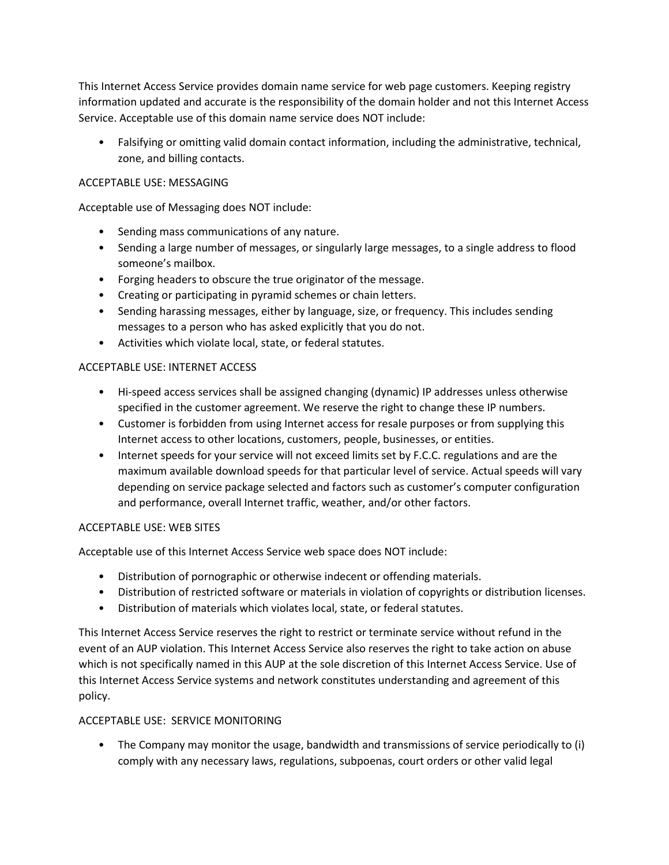This Internet Access Service provides domain name service for web page customers. Keeping registry information updated and accurate is the responsibility of the domain holder and not this Internet Access Service. Acceptable use of this domain name service does NOT include:

• Falsifying or omitting valid domain contact information, including the administrative, technical, zone, and billing contacts.

# ACCEPTABLE USE: MESSAGING

Acceptable use of Messaging does NOT include:

- Sending mass communications of any nature.
- Sending a large number of messages, or singularly large messages, to a single address to flood someone's mailbox.
- Forging headers to obscure the true originator of the message.
- Creating or participating in pyramid schemes or chain letters.
- Sending harassing messages, either by language, size, or frequency. This includes sending messages to a person who has asked explicitly that you do not.
- Activities which violate local, state, or federal statutes.

### ACCEPTABLE USE: INTERNET ACCESS

- Hi-speed access services shall be assigned changing (dynamic) IP addresses unless otherwise specified in the customer agreement. We reserve the right to change these IP numbers.
- Customer is forbidden from using Internet access for resale purposes or from supplying this Internet access to other locations, customers, people, businesses, or entities.
- Internet speeds for your service will not exceed limits set by F.C.C. regulations and are the maximum available download speeds for that particular level of service. Actual speeds will vary depending on service package selected and factors such as customer's computer configuration and performance, overall Internet traffic, weather, and/or other factors.

### ACCEPTABLE USE: WEB SITES

Acceptable use of this Internet Access Service web space does NOT include:

- Distribution of pornographic or otherwise indecent or offending materials.
- Distribution of restricted software or materials in violation of copyrights or distribution licenses.
- Distribution of materials which violates local, state, or federal statutes.

This Internet Access Service reserves the right to restrict or terminate service without refund in the event of an AUP violation. This Internet Access Service also reserves the right to take action on abuse which is not specifically named in this AUP at the sole discretion of this Internet Access Service. Use of this Internet Access Service systems and network constitutes understanding and agreement of this policy.

# ACCEPTABLE USE: SERVICE MONITORING

• The Company may monitor the usage, bandwidth and transmissions of service periodically to (i) comply with any necessary laws, regulations, subpoenas, court orders or other valid legal